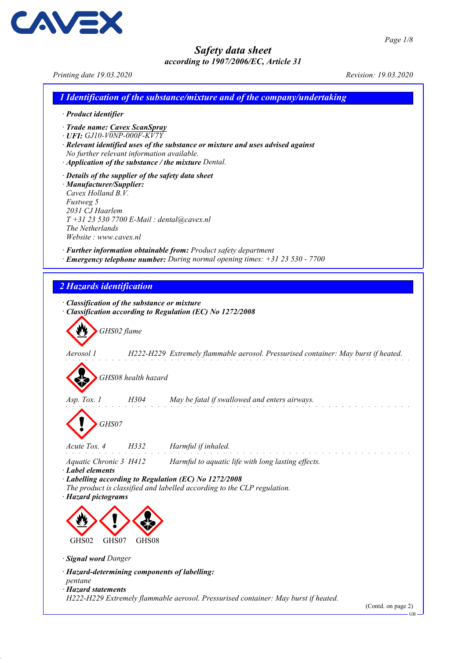Printing date 19.03.2020 Revision: 19.03.2020

CAVEX

|                                                                                                                                                                                                                                 |                     | 1 Identification of the substance/mixture and of the company/undertaking                                                                         |                    |
|---------------------------------------------------------------------------------------------------------------------------------------------------------------------------------------------------------------------------------|---------------------|--------------------------------------------------------------------------------------------------------------------------------------------------|--------------------|
| · Product identifier                                                                                                                                                                                                            |                     |                                                                                                                                                  |                    |
| · Trade name: Cavex ScanSpray<br>$\cdot$ UFI: GJ10-V0NP-000F-KV7Y<br>No further relevant information available.                                                                                                                 |                     | · Relevant identified uses of the substance or mixture and uses advised against<br>· Application of the substance / the mixture Dental.          |                    |
| · Details of the supplier of the safety data sheet<br>· Manufacturer/Supplier:<br>Cavex Holland B.V.<br>Fustweg 5<br>2031 CJ Haarlem<br>$T+31$ 23 530 7700 E-Mail : dental@cavex.nl<br>The Netherlands<br>Website: www.cavex.nl |                     |                                                                                                                                                  |                    |
|                                                                                                                                                                                                                                 |                     | · Further information obtainable from: Product safety department<br>· Emergency telephone number: During normal opening times: +31 23 530 - 7700 |                    |
| 2 Hazards identification                                                                                                                                                                                                        |                     |                                                                                                                                                  |                    |
|                                                                                                                                                                                                                                 |                     |                                                                                                                                                  |                    |
| · Classification of the substance or mixture                                                                                                                                                                                    |                     | Classification according to Regulation (EC) No 1272/2008                                                                                         |                    |
|                                                                                                                                                                                                                                 | GHS02 flame         |                                                                                                                                                  |                    |
| Aerosol 1                                                                                                                                                                                                                       |                     | H222-H229 Extremely flammable aerosol. Pressurised container: May burst if heated.                                                               |                    |
|                                                                                                                                                                                                                                 |                     |                                                                                                                                                  |                    |
|                                                                                                                                                                                                                                 | GHS08 health hazard |                                                                                                                                                  |                    |
| Asp. Tox. 1                                                                                                                                                                                                                     | H304                | May be fatal if swallowed and enters airways.                                                                                                    |                    |
| GHS07                                                                                                                                                                                                                           |                     |                                                                                                                                                  |                    |
| Acute Tox. 4                                                                                                                                                                                                                    | H332                | Harmful if inhaled.                                                                                                                              |                    |
| Aquatic Chronic 3 H412                                                                                                                                                                                                          |                     | Harmful to aquatic life with long lasting effects.                                                                                               |                    |
| $\cdot$ Label elements<br>· Hazard pictograms                                                                                                                                                                                   |                     | · Labelling according to Regulation (EC) No 1272/2008<br>The product is classified and labelled according to the CLP regulation.                 |                    |
|                                                                                                                                                                                                                                 |                     |                                                                                                                                                  |                    |
| GHS02<br>GHS07                                                                                                                                                                                                                  | GHS08               |                                                                                                                                                  |                    |
| · Signal word Danger                                                                                                                                                                                                            |                     |                                                                                                                                                  |                    |
| · Hazard-determining components of labelling:                                                                                                                                                                                   |                     |                                                                                                                                                  |                    |
| pentane<br>· Hazard statements                                                                                                                                                                                                  |                     | H222-H229 Extremely flammable aerosol. Pressurised container: May burst if heated.                                                               | (Contd. on page 2) |
|                                                                                                                                                                                                                                 |                     |                                                                                                                                                  | <b>GB</b>          |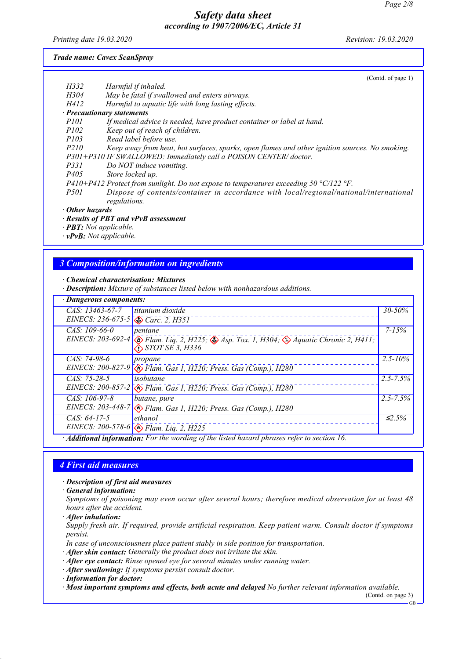Printing date 19.03.2020 Revision: 19.03.2020

#### Trade name: Cavex ScanSpray

|                        |                                                                                                                                | (Contd. of page 1) |
|------------------------|--------------------------------------------------------------------------------------------------------------------------------|--------------------|
| H332                   | Harmful if inhaled.                                                                                                            |                    |
| H304                   | May be fatal if swallowed and enters airways.                                                                                  |                    |
| H412                   | Harmful to aquatic life with long lasting effects.                                                                             |                    |
|                        | · Precautionary statements                                                                                                     |                    |
| P101                   | If medical advice is needed, have product container or label at hand.                                                          |                    |
| P102                   | Keep out of reach of children.                                                                                                 |                    |
| P103                   | Read label before use.                                                                                                         |                    |
| P210                   | Keep away from heat, hot surfaces, sparks, open flames and other ignition sources. No smoking.                                 |                    |
|                        | P301+P310 IF SWALLOWED: Immediately call a POISON CENTER/doctor.                                                               |                    |
| P331                   | Do NOT induce vomiting.                                                                                                        |                    |
| P <sub>405</sub>       | Store locked up.                                                                                                               |                    |
|                        | $P410+P412$ Protect from sunlight. Do not expose to temperatures exceeding 50 °C/122 °F.                                       |                    |
| <i>P501</i>            | Dispose of contents/container in accordance with local/regional/national/international                                         |                    |
|                        | regulations.                                                                                                                   |                    |
| $\cdot$ Other hazards  |                                                                                                                                |                    |
|                        | · Results of PBT and vPvB assessment                                                                                           |                    |
|                        | $\cdot$ <b>PBT:</b> Not applicable.                                                                                            |                    |
|                        | $\cdot$ vPvB: Not applicable.                                                                                                  |                    |
|                        |                                                                                                                                |                    |
|                        |                                                                                                                                |                    |
|                        | <b>3 Composition/information on ingredients</b>                                                                                |                    |
|                        |                                                                                                                                |                    |
|                        | · Chemical characterisation: Mixtures                                                                                          |                    |
|                        | · <b>Description:</b> Mixture of substances listed below with nonhazardous additions.                                          |                    |
|                        | · Dangerous components:                                                                                                        |                    |
| CAS: 13463-67-7        | titanium dioxide                                                                                                               | 30-50%             |
|                        | EINECS: 236-675-5<br>$\bigotimes$ Carc. 2, H351                                                                                |                    |
| CAS: 109-66-0          | pentane                                                                                                                        | $7 - 15%$          |
|                        | EINECS: 203-692-4<br>$\circledast$ Flam. Liq. 2, H225; $\circledast$ Asp. Tox. 1, H304; $\circledast$ Aquatic Chronic 2, H411; |                    |
|                        | $\bigotimes$ STOT SE 3, H336                                                                                                   |                    |
| CAS: 74-98-6           |                                                                                                                                | $2.5 - 10\%$       |
|                        | propane                                                                                                                        |                    |
|                        | EINECS: 200-827-9<br>Elam. Gas 1, H220; Press. Gas (Comp.), H280                                                               |                    |
| $C A \Gamma$ , 75 70 5 | $in a$ but an a                                                                                                                | 25750/             |

CAS: 75-28-5 EINECS: 200-857-2 isobutane  $\bigotimes$  Flam. Gas 1, H220; Press. Gas (Comp.), H280 2.5-7.5% CAS: 106-97-8 EINECS: 203-448-7 butane, pure Flam. Gas 1, H220; Press. Gas (Comp.), H280  $2.5 - 7.5%$ CAS: 64-17-5 EINECS: 200-578-6 ethanol  $\bigotimes$  Flam. Liq. 2, H225  $≤2.5%$ 

· Additional information: For the wording of the listed hazard phrases refer to section 16.

# 4 First aid measures

### · Description of first aid measures

· General information:

Symptoms of poisoning may even occur after several hours; therefore medical observation for at least 48 hours after the accident.

· After inhalation:

Supply fresh air. If required, provide artificial respiration. Keep patient warm. Consult doctor if symptoms persist.

In case of unconsciousness place patient stably in side position for transportation.

- · After skin contact: Generally the product does not irritate the skin.
- · After eye contact: Rinse opened eye for several minutes under running water.
- · After swallowing: If symptoms persist consult doctor.

· Information for doctor:

· Most important symptoms and effects, both acute and delayed No further relevant information available.

(Contd. on page 3) GB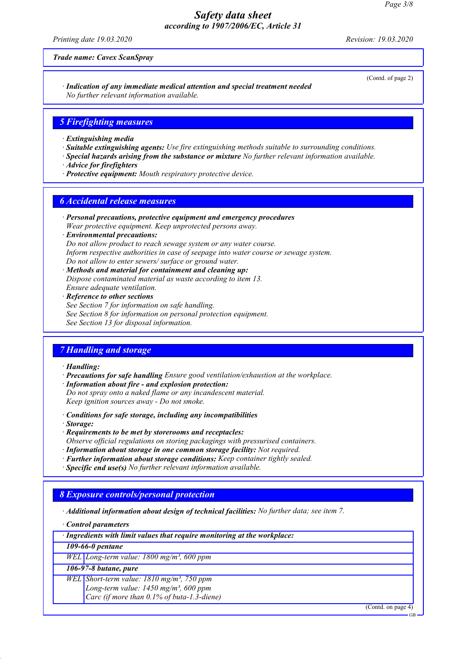Printing date 19.03.2020 Revision: 19.03.2020

Trade name: Cavex ScanSpray

(Contd. of page 2)

· Indication of any immediate medical attention and special treatment needed No further relevant information available.

### 5 Firefighting measures

- · Extinguishing media
- · Suitable extinguishing agents: Use fire extinguishing methods suitable to surrounding conditions.
- · Special hazards arising from the substance or mixture No further relevant information available.
- · Advice for firefighters
- · Protective equipment: Mouth respiratory protective device.

### 6 Accidental release measures

- · Personal precautions, protective equipment and emergency procedures Wear protective equipment. Keep unprotected persons away.
- · Environmental precautions: Do not allow product to reach sewage system or any water course. Inform respective authorities in case of seepage into water course or sewage system. Do not allow to enter sewers/ surface or ground water.
- · Methods and material for containment and cleaning up: Dispose contaminated material as waste according to item 13. Ensure adequate ventilation.
- · Reference to other sections See Section 7 for information on safe handling. See Section 8 for information on personal protection equipment. See Section 13 for disposal information.

## 7 Handling and storage

#### · Handling:

- · Precautions for safe handling Ensure good ventilation/exhaustion at the workplace. · Information about fire - and explosion protection:
- Do not spray onto a naked flame or any incandescent material. Keep ignition sources away - Do not smoke.
- · Conditions for safe storage, including any incompatibilities
- · Storage:
- · Requirements to be met by storerooms and receptacles:
- Observe official regulations on storing packagings with pressurised containers.
- · Information about storage in one common storage facility: Not required.
- · Further information about storage conditions: Keep container tightly sealed.

· Specific end use(s) No further relevant information available.

## 8 Exposure controls/personal protection

· Additional information about design of technical facilities: No further data; see item 7.

· Control parameters

| · Ingredients with limit values that require monitoring at the workplace: |  |  |
|---------------------------------------------------------------------------|--|--|
|                                                                           |  |  |

109-66-0 pentane

WEL Long-term value: 1800 mg/m<sup>3</sup>, 600 ppm

### 106-97-8 butane, pure

WEL Short-term value: 1810 mg/m<sup>3</sup>, 750 ppm Long-term value:  $1450$  mg/m<sup>3</sup>, 600 ppm Carc (if more than 0.1% of buta-1.3-diene)

(Contd. on page 4)

GB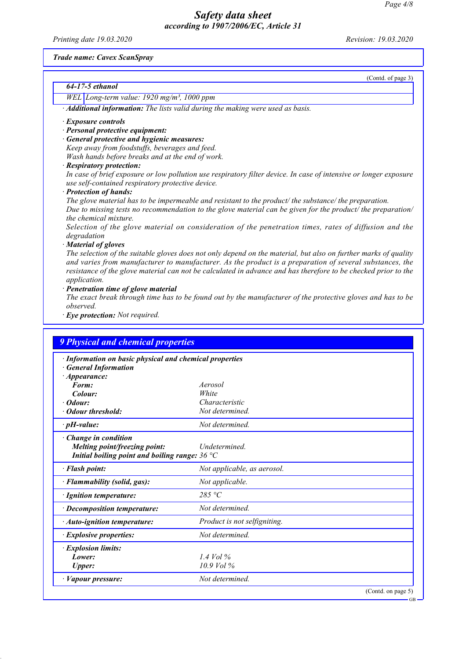Printing date 19.03.2020 Revision: 19.03.2020

(Contd. of page 3)

GB

#### Trade name: Cavex ScanSpray

| 64-17-5 ethanol |  |
|-----------------|--|
|-----------------|--|

WEL Long-term value: 1920 mg/m<sup>3</sup>, 1000 ppm

· Additional information: The lists valid during the making were used as basis.

#### · Exposure controls

- · Personal protective equipment:
- · General protective and hygienic measures: Keep away from foodstuffs, beverages and feed. Wash hands before breaks and at the end of work.
- · Respiratory protection:

In case of brief exposure or low pollution use respiratory filter device. In case of intensive or longer exposure use self-contained respiratory protective device.

· Protection of hands:

The glove material has to be impermeable and resistant to the product/ the substance/ the preparation. Due to missing tests no recommendation to the glove material can be given for the product/ the preparation/ the chemical mixture.

Selection of the glove material on consideration of the penetration times, rates of diffusion and the degradation

· Material of gloves

The selection of the suitable gloves does not only depend on the material, but also on further marks of quality and varies from manufacturer to manufacturer. As the product is a preparation of several substances, the resistance of the glove material can not be calculated in advance and has therefore to be checked prior to the application.

Penetration time of glove material

The exact break through time has to be found out by the manufacturer of the protective gloves and has to be observed.

· Eye protection: Not required.

| · Information on basic physical and chemical properties                                                          |                              |  |
|------------------------------------------------------------------------------------------------------------------|------------------------------|--|
| <b>General Information</b>                                                                                       |                              |  |
| $\cdot$ Appearance:                                                                                              | Aerosol                      |  |
| Form:<br>Colour:                                                                                                 | White                        |  |
| · Odour:                                                                                                         | Characteristic               |  |
| • Odour threshold:                                                                                               | Not determined.              |  |
| $\cdot$ pH-value:                                                                                                | Not determined.              |  |
| $\cdot$ Change in condition<br>Melting point/freezing point:<br>Initial boiling point and boiling range: $36 °C$ | <b>Undetermined</b>          |  |
| · Flash point:                                                                                                   | Not applicable, as aerosol.  |  |
| · Flammability (solid, gas):                                                                                     | Not applicable.              |  |
| · Ignition temperature:                                                                                          | 285 °C                       |  |
| $\cdot$ Decomposition temperature:                                                                               | Not determined.              |  |
| · Auto-ignition temperature:                                                                                     | Product is not selfigniting. |  |
| $\cdot$ Explosive properties:                                                                                    | Not determined.              |  |
| · Explosion limits:                                                                                              |                              |  |
| Lower:                                                                                                           | 1.4 Vol $\%$                 |  |
| <b>Upper:</b>                                                                                                    | $10.9$ Vol %                 |  |
| · Vapour pressure:                                                                                               | Not determined.              |  |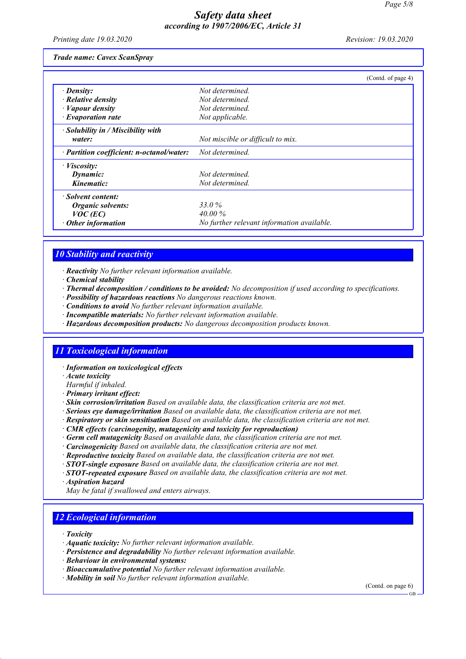Printing date 19.03.2020 Revision: 19.03.2020

Trade name: Cavex ScanSpray

|                                           | (Contd. of page 4)                         |
|-------------------------------------------|--------------------------------------------|
| $\cdot$ Density:                          | Not determined.                            |
| $\cdot$ Relative density                  | Not determined.                            |
| $\cdot$ <i>Vapour density</i>             | Not determined.                            |
| $\cdot$ Evaporation rate                  | Not applicable.                            |
| $\cdot$ Solubility in / Miscibility with  |                                            |
| water:                                    | Not miscible or difficult to mix.          |
| · Partition coefficient: n-octanol/water: | Not determined.                            |
| $\cdot$ Viscosity:                        |                                            |
| Dynamic:                                  | Not determined.                            |
| Kinematic:                                | Not determined.                            |
| · Solvent content:                        |                                            |
| Organic solvents:                         | 33.0 %                                     |
| $VOC$ (EC)                                | $40.00\%$                                  |
| $\cdot$ Other information                 | No further relevant information available. |

### 10 Stability and reactivity

· Reactivity No further relevant information available.

· Chemical stability

· Thermal decomposition / conditions to be avoided: No decomposition if used according to specifications.

- · Possibility of hazardous reactions No dangerous reactions known.
- · Conditions to avoid No further relevant information available.
- · Incompatible materials: No further relevant information available.
- · Hazardous decomposition products: No dangerous decomposition products known.

### 11 Toxicological information

· Information on toxicological effects

· Acute toxicity

- Harmful if inhaled.
- · Primary irritant effect:
- · Skin corrosion/irritation Based on available data, the classification criteria are not met.

· Serious eye damage/irritation Based on available data, the classification criteria are not met.

- · Respiratory or skin sensitisation Based on available data, the classification criteria are not met.
- · CMR effects (carcinogenity, mutagenicity and toxicity for reproduction)
- · Germ cell mutagenicity Based on available data, the classification criteria are not met.
- · Carcinogenicity Based on available data, the classification criteria are not met.
- · Reproductive toxicity Based on available data, the classification criteria are not met.
- $\cdot$  STOT-single exposure Based on available data, the classification criteria are not met.
- $\cdot$  **STOT-repeated exposure** Based on available data, the classification criteria are not met.
- · Aspiration hazard
- May be fatal if swallowed and enters airways.

### 12 Ecological information

- · Toxicity
- · Aquatic toxicity: No further relevant information available.
- · Persistence and degradability No further relevant information available.
- · Behaviour in environmental systems:
- · Bioaccumulative potential No further relevant information available.
- · Mobility in soil No further relevant information available.

(Contd. on page 6)

GB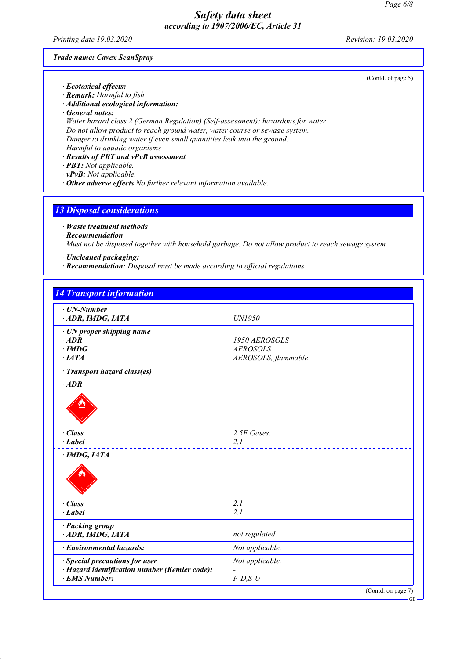Printing date 19.03.2020 Revision: 19.03.2020

(Contd. of page 5)

Trade name: Cavex ScanSpray

· Ecotoxical effects: · Remark: Harmful to fish

· Additional ecological information:

· General notes:

Water hazard class 2 (German Regulation) (Self-assessment): hazardous for water Do not allow product to reach ground water, water course or sewage system. Danger to drinking water if even small quantities leak into the ground.

Harmful to aquatic organisms

· Results of PBT and vPvB assessment

· PBT: Not applicable.

· vPvB: Not applicable.

· Other adverse effects No further relevant information available.

13 Disposal considerations

· Waste treatment methods

· Recommendation

Must not be disposed together with household garbage. Do not allow product to reach sewage system.

· Uncleaned packaging:

· Recommendation: Disposal must be made according to official regulations.

| $\cdot$ UN-Number                             |                     |
|-----------------------------------------------|---------------------|
| ADR, IMDG, IATA                               | UN1950              |
| · UN proper shipping name                     |                     |
| $·$ <i>ADR</i>                                | 1950 AEROSOLS       |
| $\cdot$ IMDG                                  | <b>AEROSOLS</b>     |
| ·IATA                                         | AEROSOLS, flammable |
| · Transport hazard class(es)                  |                     |
| $\cdot$ ADR                                   |                     |
|                                               |                     |
| · Class                                       | 2 5F Gases.         |
| · Label                                       | 2.1                 |
| $\cdot$ IMDG, IATA                            |                     |
|                                               |                     |
| · Class                                       | 2.1                 |
| $\cdot$ Label                                 | 2.1                 |
| · Packing group<br>ADR, IMDG, IATA            | not regulated       |
|                                               |                     |
| · Environmental hazards:                      | Not applicable.     |
| · Special precautions for user                | Not applicable.     |
| · Hazard identification number (Kemler code): |                     |
| · EMS Number:                                 | $F$ -D,S-U          |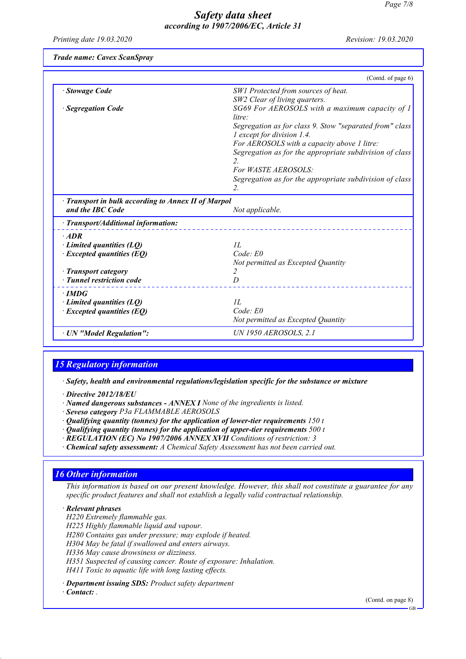Printing date 19.03.2020 Revision: 19.03.2020

Trade name: Cavex ScanSpray

|                                                         | (Contd. of page 6)                                                                    |
|---------------------------------------------------------|---------------------------------------------------------------------------------------|
| <b>Stowage Code</b>                                     | SW1 Protected from sources of heat.                                                   |
|                                                         | SW2 Clear of living quarters.                                                         |
| · Segregation Code                                      | SG69 For AEROSOLS with a maximum capacity of 1<br>$litre+$                            |
|                                                         | Segregation as for class 9. Stow "separated from" class<br>1 except for division 1.4. |
|                                                         | For AEROSOLS with a capacity above 1 litre:                                           |
|                                                         | Segregation as for the appropriate subdivision of class<br>$\overline{2}$             |
|                                                         | For WASTE AEROSOLS:                                                                   |
|                                                         | Segregation as for the appropriate subdivision of class                               |
|                                                         | 2.                                                                                    |
| and the IBC Code<br>· Transport/Additional information: | Not applicable.                                                                       |
|                                                         |                                                                                       |
| $·$ <i>ADR</i>                                          |                                                                                       |
| $\cdot$ Limited quantities (LQ)                         | II.                                                                                   |
| $\cdot$ Excepted quantities (EQ)                        | Code: E0                                                                              |
|                                                         | Not permitted as Excepted Quantity                                                    |
| · Transport category                                    | 2                                                                                     |
| · Tunnel restriction code                               | D                                                                                     |
| $\cdot$ IMDG                                            |                                                                                       |
| $\cdot$ Limited quantities (LQ)                         | IL                                                                                    |
| $\cdot$ Excepted quantities (EQ)                        | Code: E0                                                                              |
|                                                         | Not permitted as Excepted Quantity                                                    |
| · UN "Model Regulation":                                | <b>UN 1950 AEROSOLS, 2.1</b>                                                          |

# 15 Regulatory information

· Safety, health and environmental regulations/legislation specific for the substance or mixture

- · Directive 2012/18/EU
- · Named dangerous substances ANNEX I None of the ingredients is listed.
- · Seveso category P3a FLAMMABLE AEROSOLS
- $\cdot$  Qualifying quantity (tonnes) for the application of lower-tier requirements 150 t
- $\cdot$  Qualifying quantity (tonnes) for the application of upper-tier requirements 500 t
- · REGULATION (EC) No 1907/2006 ANNEX XVII Conditions of restriction: 3
- · Chemical safety assessment: A Chemical Safety Assessment has not been carried out.

## 16 Other information

This information is based on our present knowledge. However, this shall not constitute a guarantee for any specific product features and shall not establish a legally valid contractual relationship.

· Relevant phrases

H220 Extremely flammable gas.

H225 Highly flammable liquid and vapour.

H280 Contains gas under pressure; may explode if heated.

H304 May be fatal if swallowed and enters airways.

H336 May cause drowsiness or dizziness.

H351 Suspected of causing cancer. Route of exposure: Inhalation.

H411 Toxic to aquatic life with long lasting effects.

· Department issuing SDS: Product safety department

· Contact: .

(Contd. on page 8)

GB